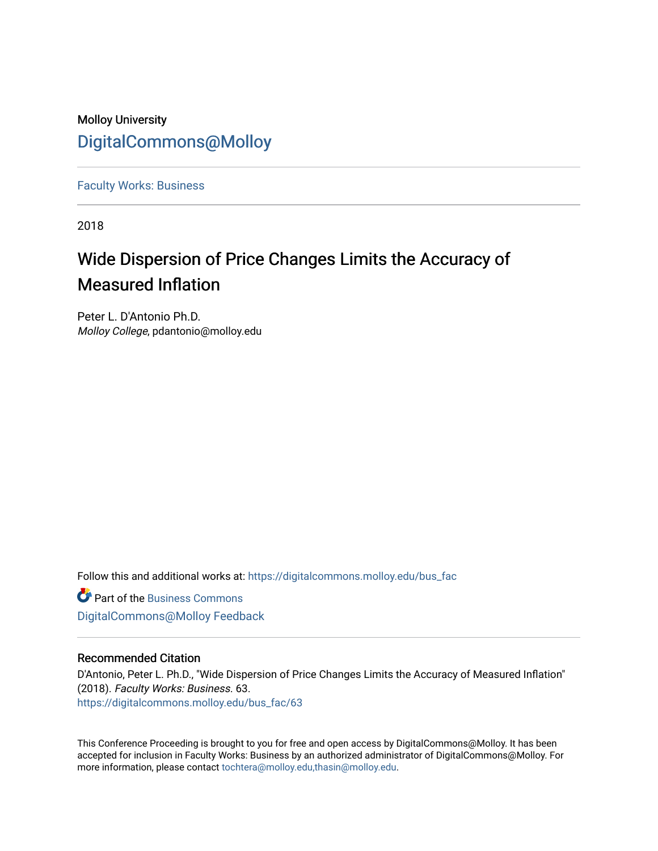## Molloy University [DigitalCommons@Molloy](https://digitalcommons.molloy.edu/)

[Faculty Works: Business](https://digitalcommons.molloy.edu/bus_fac) 

2018

# Wide Dispersion of Price Changes Limits the Accuracy of Measured Inflation

Peter L. D'Antonio Ph.D. Molloy College, pdantonio@molloy.edu

Follow this and additional works at: [https://digitalcommons.molloy.edu/bus\\_fac](https://digitalcommons.molloy.edu/bus_fac?utm_source=digitalcommons.molloy.edu%2Fbus_fac%2F63&utm_medium=PDF&utm_campaign=PDFCoverPages)

**C** Part of the [Business Commons](https://network.bepress.com/hgg/discipline/622?utm_source=digitalcommons.molloy.edu%2Fbus_fac%2F63&utm_medium=PDF&utm_campaign=PDFCoverPages) [DigitalCommons@Molloy Feedback](https://molloy.libwizard.com/f/dcfeedback)

#### Recommended Citation

D'Antonio, Peter L. Ph.D., "Wide Dispersion of Price Changes Limits the Accuracy of Measured Inflation" (2018). Faculty Works: Business. 63. [https://digitalcommons.molloy.edu/bus\\_fac/63](https://digitalcommons.molloy.edu/bus_fac/63?utm_source=digitalcommons.molloy.edu%2Fbus_fac%2F63&utm_medium=PDF&utm_campaign=PDFCoverPages) 

This Conference Proceeding is brought to you for free and open access by DigitalCommons@Molloy. It has been accepted for inclusion in Faculty Works: Business by an authorized administrator of DigitalCommons@Molloy. For more information, please contact [tochtera@molloy.edu,thasin@molloy.edu.](mailto:tochtera@molloy.edu,thasin@molloy.edu)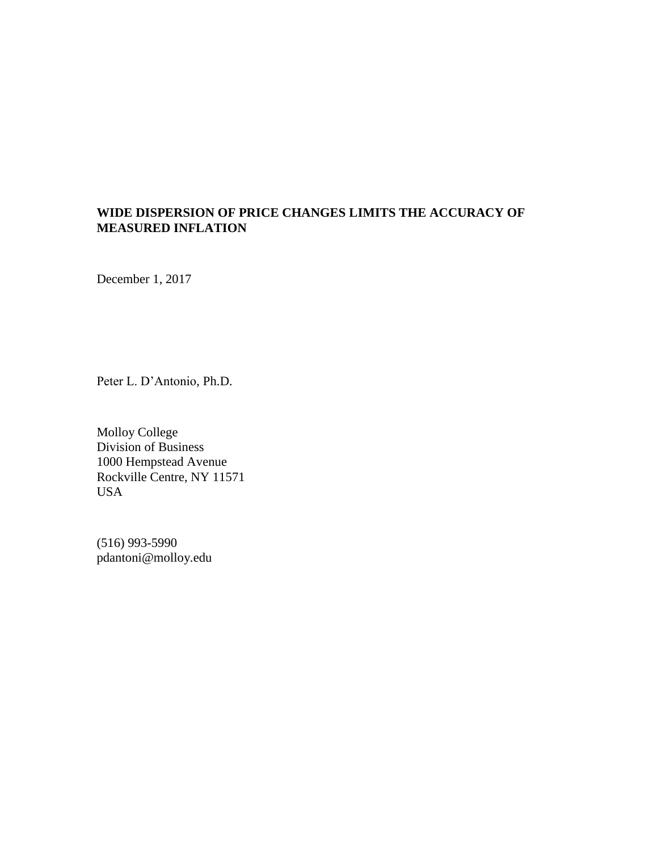### **WIDE DISPERSION OF PRICE CHANGES LIMITS THE ACCURACY OF MEASURED INFLATION**

December 1, 2017

Peter L. D'Antonio, Ph.D.

Molloy College Division of Business 1000 Hempstead Avenue Rockville Centre, NY 11571 USA

(516) 993-5990 pdantoni@molloy.edu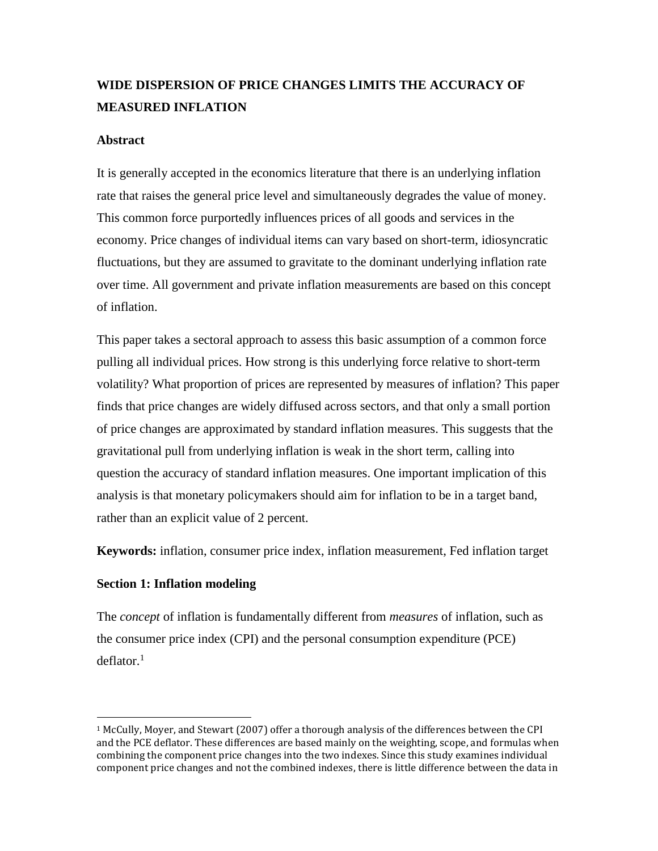## **WIDE DISPERSION OF PRICE CHANGES LIMITS THE ACCURACY OF MEASURED INFLATION**

#### **Abstract**

It is generally accepted in the economics literature that there is an underlying inflation rate that raises the general price level and simultaneously degrades the value of money. This common force purportedly influences prices of all goods and services in the economy. Price changes of individual items can vary based on short-term, idiosyncratic fluctuations, but they are assumed to gravitate to the dominant underlying inflation rate over time. All government and private inflation measurements are based on this concept of inflation.

This paper takes a sectoral approach to assess this basic assumption of a common force pulling all individual prices. How strong is this underlying force relative to short-term volatility? What proportion of prices are represented by measures of inflation? This paper finds that price changes are widely diffused across sectors, and that only a small portion of price changes are approximated by standard inflation measures. This suggests that the gravitational pull from underlying inflation is weak in the short term, calling into question the accuracy of standard inflation measures. One important implication of this analysis is that monetary policymakers should aim for inflation to be in a target band, rather than an explicit value of 2 percent.

**Keywords:** inflation, consumer price index, inflation measurement, Fed inflation target

#### **Section 1: Inflation modeling**

 $\overline{a}$ 

The *concept* of inflation is fundamentally different from *measures* of inflation, such as the consumer price index (CPI) and the personal consumption expenditure (PCE)  $deflator.<sup>1</sup>$ 

<sup>1</sup> McCully, Moyer, and Stewart (2007) offer a thorough analysis of the differences between the CPI and the PCE deflator. These differences are based mainly on the weighting, scope, and formulas when combining the component price changes into the two indexes. Since this study examines individual component price changes and not the combined indexes, there is little difference between the data in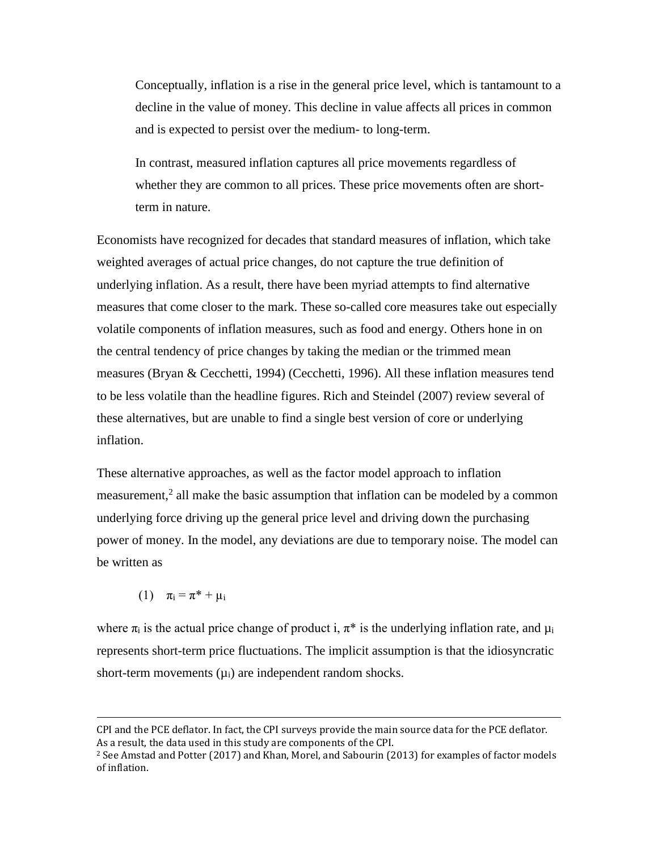Conceptually, inflation is a rise in the general price level, which is tantamount to a decline in the value of money. This decline in value affects all prices in common and is expected to persist over the medium- to long-term.

In contrast, measured inflation captures all price movements regardless of whether they are common to all prices. These price movements often are shortterm in nature.

Economists have recognized for decades that standard measures of inflation, which take weighted averages of actual price changes, do not capture the true definition of underlying inflation. As a result, there have been myriad attempts to find alternative measures that come closer to the mark. These so-called core measures take out especially volatile components of inflation measures, such as food and energy. Others hone in on the central tendency of price changes by taking the median or the trimmed mean measures (Bryan & Cecchetti, 1994) (Cecchetti, 1996). All these inflation measures tend to be less volatile than the headline figures. Rich and Steindel (2007) review several of these alternatives, but are unable to find a single best version of core or underlying inflation.

These alternative approaches, as well as the factor model approach to inflation measurement,<sup>2</sup> all make the basic assumption that inflation can be modeled by a common underlying force driving up the general price level and driving down the purchasing power of money. In the model, any deviations are due to temporary noise. The model can be written as

(1)  $\pi_i = \pi^* + \mu_i$ 

 $\overline{a}$ 

where  $\pi_i$  is the actual price change of product i,  $\pi^*$  is the underlying inflation rate, and  $\mu_i$ represents short-term price fluctuations. The implicit assumption is that the idiosyncratic short-term movements  $(\mu_i)$  are independent random shocks.

CPI and the PCE deflator. In fact, the CPI surveys provide the main source data for the PCE deflator. As a result, the data used in this study are components of the CPI.

 $2$  See Amstad and Potter (2017) and Khan, Morel, and Sabourin (2013) for examples of factor models of inflation.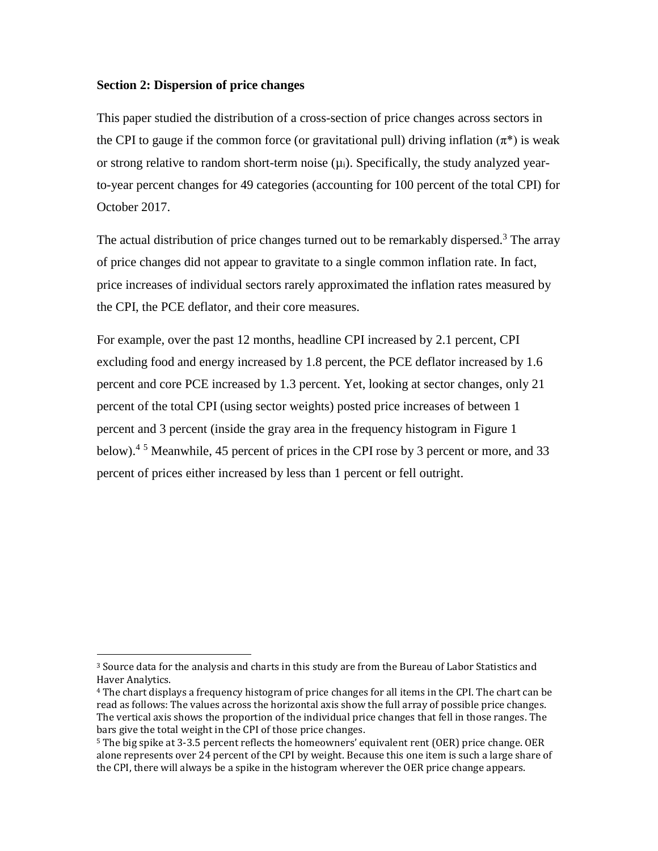#### **Section 2: Dispersion of price changes**

 $\overline{a}$ 

This paper studied the distribution of a cross-section of price changes across sectors in the CPI to gauge if the common force (or gravitational pull) driving inflation  $(\pi^*)$  is weak or strong relative to random short-term noise  $(\mu_i)$ . Specifically, the study analyzed yearto-year percent changes for 49 categories (accounting for 100 percent of the total CPI) for October 2017.

The actual distribution of price changes turned out to be remarkably dispersed.<sup>3</sup> The array of price changes did not appear to gravitate to a single common inflation rate. In fact, price increases of individual sectors rarely approximated the inflation rates measured by the CPI, the PCE deflator, and their core measures.

For example, over the past 12 months, headline CPI increased by 2.1 percent, CPI excluding food and energy increased by 1.8 percent, the PCE deflator increased by 1.6 percent and core PCE increased by 1.3 percent. Yet, looking at sector changes, only 21 percent of the total CPI (using sector weights) posted price increases of between 1 percent and 3 percent (inside the gray area in the frequency histogram in Figure 1 below).<sup>45</sup> Meanwhile, 45 percent of prices in the CPI rose by 3 percent or more, and 33 percent of prices either increased by less than 1 percent or fell outright.

<sup>&</sup>lt;sup>3</sup> Source data for the analysis and charts in this study are from the Bureau of Labor Statistics and Haver Analytics.

<sup>4</sup> The chart displays a frequency histogram of price changes for all items in the CPI. The chart can be read as follows: The values across the horizontal axis show the full array of possible price changes. The vertical axis shows the proportion of the individual price changes that fell in those ranges. The bars give the total weight in the CPI of those price changes.

<sup>5</sup> The big spike at 3-3.5 percent reflects the homeowners' equivalent rent (OER) price change. OER alone represents over 24 percent of the CPI by weight. Because this one item is such a large share of the CPI, there will always be a spike in the histogram wherever the OER price change appears.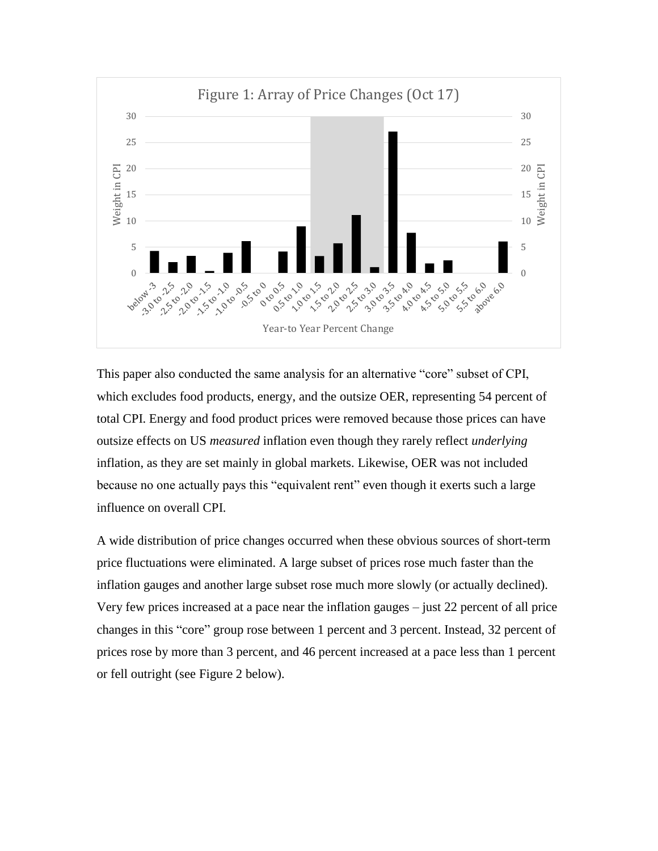

This paper also conducted the same analysis for an alternative "core" subset of CPI, which excludes food products, energy, and the outsize OER, representing 54 percent of total CPI. Energy and food product prices were removed because those prices can have outsize effects on US *measured* inflation even though they rarely reflect *underlying* inflation, as they are set mainly in global markets. Likewise, OER was not included because no one actually pays this "equivalent rent" even though it exerts such a large influence on overall CPI.

A wide distribution of price changes occurred when these obvious sources of short-term price fluctuations were eliminated. A large subset of prices rose much faster than the inflation gauges and another large subset rose much more slowly (or actually declined). Very few prices increased at a pace near the inflation gauges – just 22 percent of all price changes in this "core" group rose between 1 percent and 3 percent. Instead, 32 percent of prices rose by more than 3 percent, and 46 percent increased at a pace less than 1 percent or fell outright (see Figure 2 below).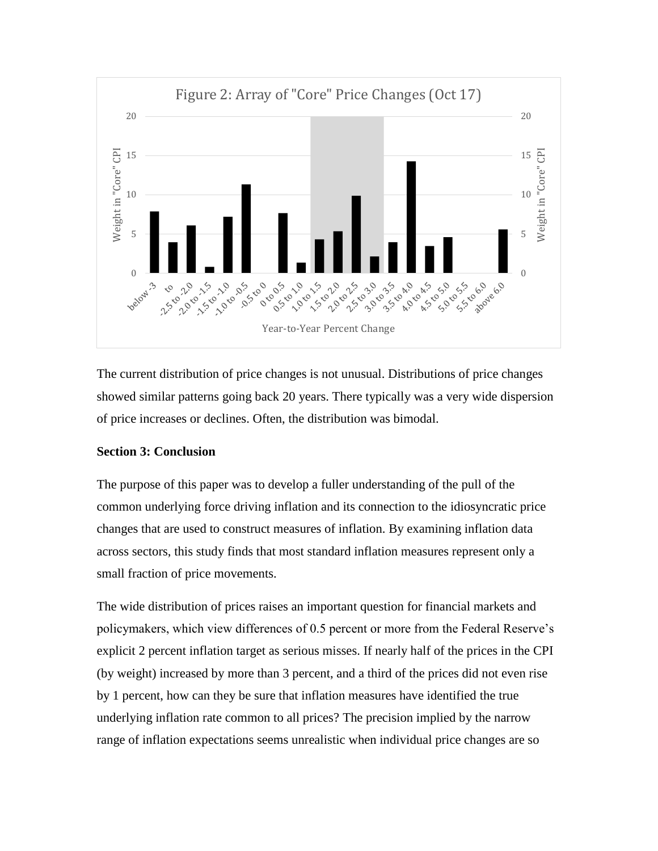

The current distribution of price changes is not unusual. Distributions of price changes showed similar patterns going back 20 years. There typically was a very wide dispersion of price increases or declines. Often, the distribution was bimodal.

#### **Section 3: Conclusion**

The purpose of this paper was to develop a fuller understanding of the pull of the common underlying force driving inflation and its connection to the idiosyncratic price changes that are used to construct measures of inflation. By examining inflation data across sectors, this study finds that most standard inflation measures represent only a small fraction of price movements.

The wide distribution of prices raises an important question for financial markets and policymakers, which view differences of 0.5 percent or more from the Federal Reserve's explicit 2 percent inflation target as serious misses. If nearly half of the prices in the CPI (by weight) increased by more than 3 percent, and a third of the prices did not even rise by 1 percent, how can they be sure that inflation measures have identified the true underlying inflation rate common to all prices? The precision implied by the narrow range of inflation expectations seems unrealistic when individual price changes are so